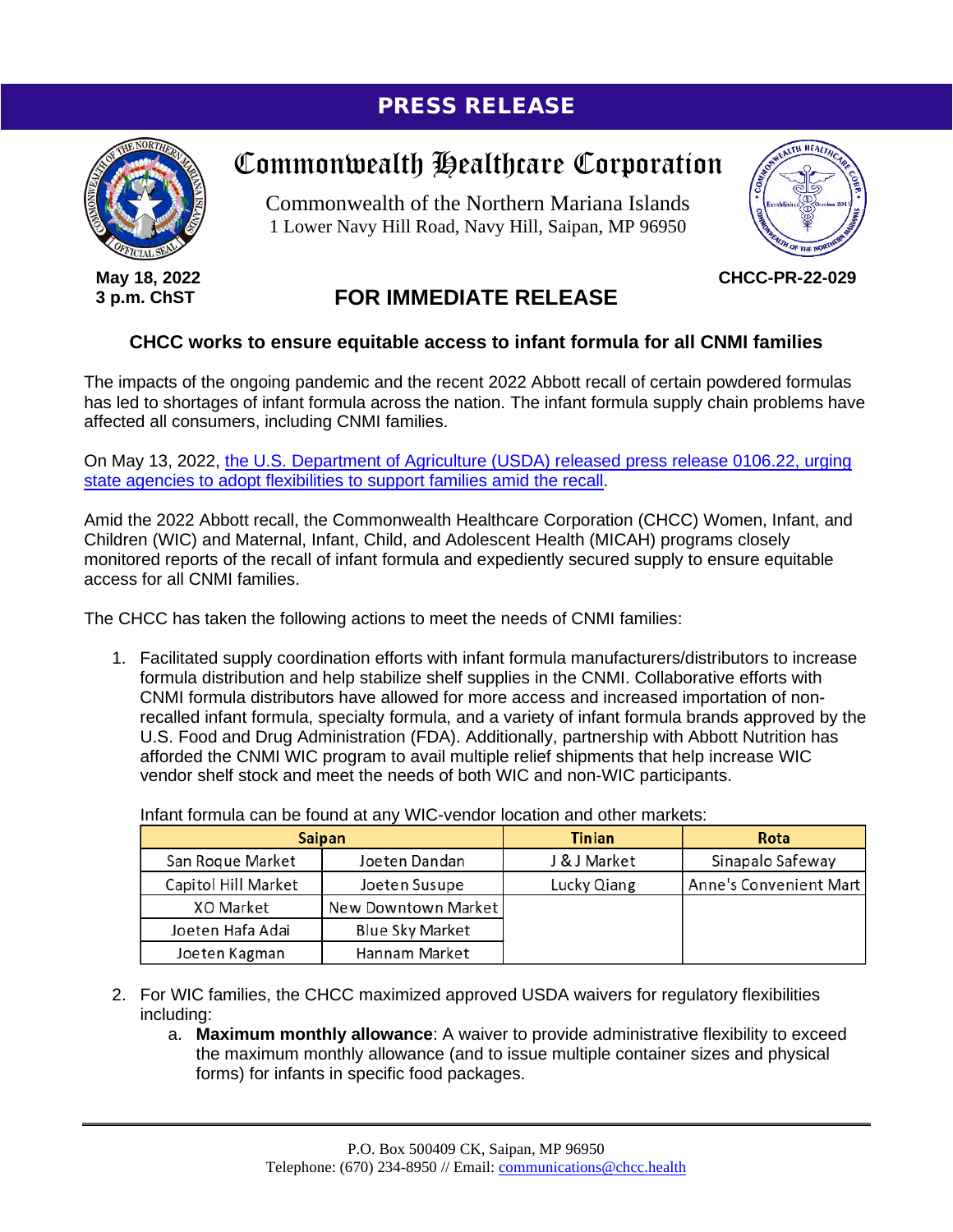## PRESS RELEASE



**May 18, 2022 3 p.m. ChST**

## Commonwealth Healthcare Corporation

Commonwealth of the Northern Mariana Islands 1 Lower Navy Hill Road, Navy Hill, Saipan, MP 96950



**CHCC-PR-22-029**

## **FOR IMMEDIATE RELEASE**

## **CHCC works to ensure equitable access to infant formula for all CNMI families**

The impacts of the ongoing pandemic and the recent 2022 Abbott recall of certain powdered formulas has led to shortages of infant formula across the nation. The infant formula supply chain problems have affected all consumers, including CNMI families.

On May 13, 2022, [the U.S. Department of Agriculture \(USDA\) released press release 0106.22, urging](https://www.usda.gov/media/press-releases/2022/05/13/usda-continues-urgent-actions-address-infant-formula-shortage)  [state agencies to adopt flexibilities to support families amid the recall.](https://www.usda.gov/media/press-releases/2022/05/13/usda-continues-urgent-actions-address-infant-formula-shortage)

Amid the 2022 Abbott recall, the Commonwealth Healthcare Corporation (CHCC) Women, Infant, and Children (WIC) and Maternal, Infant, Child, and Adolescent Health (MICAH) programs closely monitored reports of the recall of infant formula and expediently secured supply to ensure equitable access for all CNMI families.

The CHCC has taken the following actions to meet the needs of CNMI families:

1. Facilitated supply coordination efforts with infant formula manufacturers/distributors to increase formula distribution and help stabilize shelf supplies in the CNMI. Collaborative efforts with CNMI formula distributors have allowed for more access and increased importation of nonrecalled infant formula, specialty formula, and a variety of infant formula brands approved by the U.S. Food and Drug Administration (FDA). Additionally, partnership with Abbott Nutrition has afforded the CNMI WIC program to avail multiple relief shipments that help increase WIC vendor shelf stock and meet the needs of both WIC and non-WIC participants.

| <b>Saipan</b>       |                        | <b>Tinian</b> | Rota                   |
|---------------------|------------------------|---------------|------------------------|
| San Roque Market    | Joeten Dandan          | J & J Market  | Sinapalo Safeway       |
| Capitol Hill Market | Joeten Susupe          | Lucky Qiang   | Anne's Convenient Mart |
| XO Market           | New Downtown Market    |               |                        |
| Joeten Hafa Adai    | <b>Blue Sky Market</b> |               |                        |
| Joeten Kagman       | Hannam Market          |               |                        |

Infant formula can be found at any WIC-vendor location and other markets:

- 2. For WIC families, the CHCC maximized approved USDA waivers for regulatory flexibilities including:
	- a. **Maximum monthly allowance**: A waiver to provide administrative flexibility to exceed the maximum monthly allowance (and to issue multiple container sizes and physical forms) for infants in specific food packages.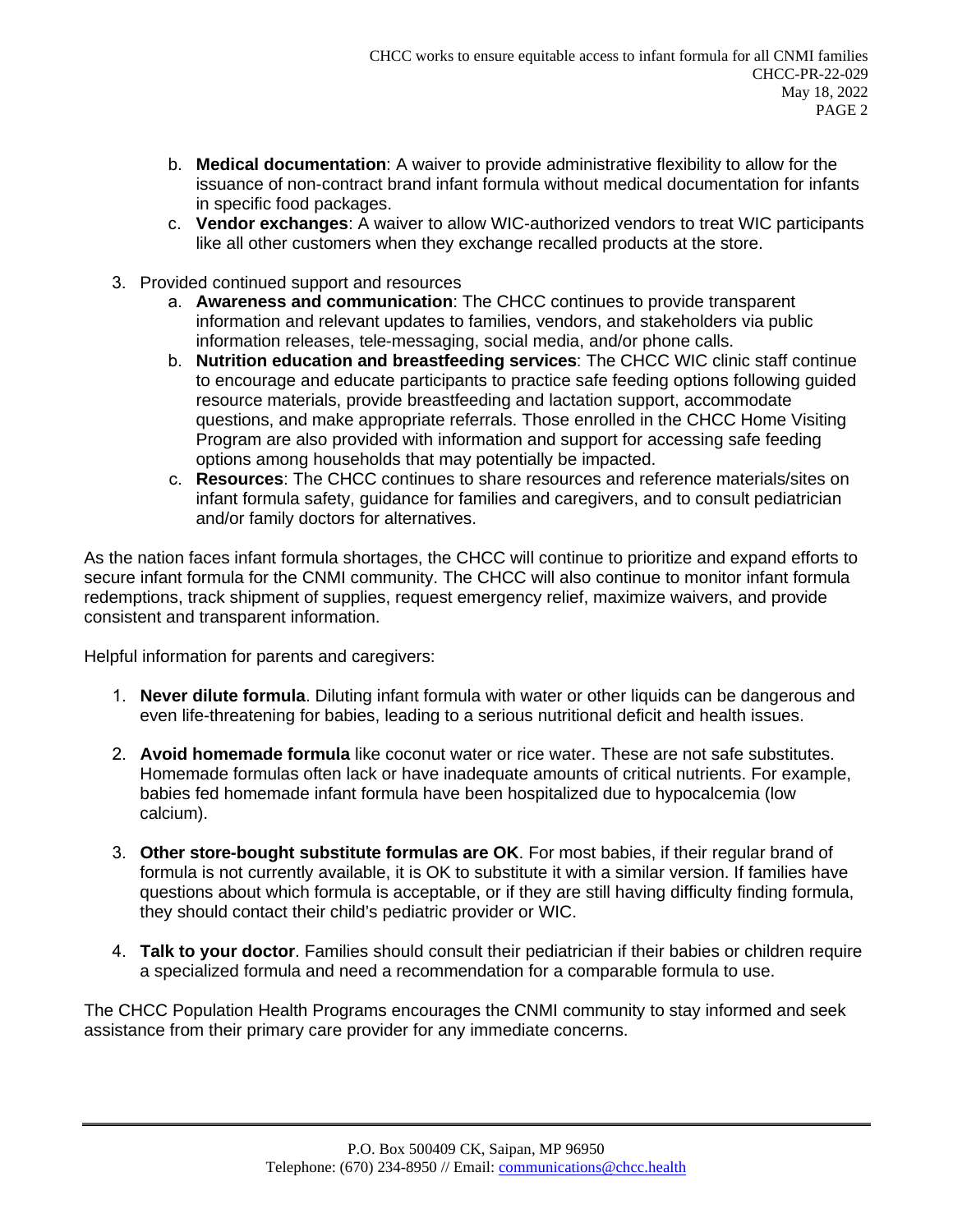- b. **Medical documentation**: A waiver to provide administrative flexibility to allow for the issuance of non-contract brand infant formula without medical documentation for infants in specific food packages.
- c. **Vendor exchanges**: A waiver to allow WIC-authorized vendors to treat WIC participants like all other customers when they exchange recalled products at the store.
- 3. Provided continued support and resources
	- a. **Awareness and communication**: The CHCC continues to provide transparent information and relevant updates to families, vendors, and stakeholders via public information releases, tele-messaging, social media, and/or phone calls.
	- b. **Nutrition education and breastfeeding services**: The CHCC WIC clinic staff continue to encourage and educate participants to practice safe feeding options following guided resource materials, provide breastfeeding and lactation support, accommodate questions, and make appropriate referrals. Those enrolled in the CHCC Home Visiting Program are also provided with information and support for accessing safe feeding options among households that may potentially be impacted.
	- c. **Resources**: The CHCC continues to share resources and reference materials/sites on infant formula safety, guidance for families and caregivers, and to consult pediatrician and/or family doctors for alternatives.

As the nation faces infant formula shortages, the CHCC will continue to prioritize and expand efforts to secure infant formula for the CNMI community. The CHCC will also continue to monitor infant formula redemptions, track shipment of supplies, request emergency relief, maximize waivers, and provide consistent and transparent information.

Helpful information for parents and caregivers:

- 1. **Never dilute formula**. Diluting infant formula with water or other liquids can be dangerous and even life-threatening for babies, leading to a serious nutritional deficit and health issues.
- 2. **Avoid homemade formula** like coconut water or rice water. These are not safe substitutes. Homemade formulas often lack or have inadequate amounts of critical nutrients. For example, babies fed homemade infant formula have been hospitalized due to hypocalcemia (low calcium).
- 3. **Other store-bought substitute formulas are OK**. For most babies, if their regular brand of formula is not currently available, it is OK to substitute it with a similar version. If families have questions about which formula is acceptable, or if they are still having difficulty finding formula, they should contact their child's pediatric provider or WIC.
- 4. **Talk to your doctor**. Families should consult their pediatrician if their babies or children require a specialized formula and need a recommendation for a comparable formula to use.

The CHCC Population Health Programs encourages the CNMI community to stay informed and seek assistance from their primary care provider for any immediate concerns.